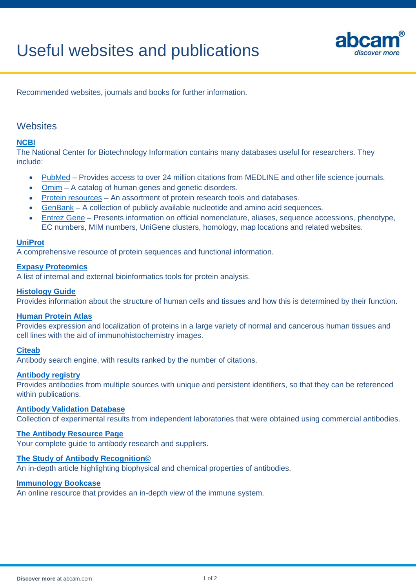

Recommended websites, journals and books for further information.

## **Websites**

## **[NCBI](http://www.ncbi.nlm.nih.gov/)**

The National Center for Biotechnology Information contains many databases useful for researchers. They include:

- [PubMed](http://www.ncbi.nlm.nih.gov/entrez/query.fcgi?db=PubMed) Provides access to over 24 million citations from MEDLINE and other life science journals.
- [Omim](http://www.ncbi.nlm.nih.gov/sites/entrez?db=omim) A catalog of human genes and genetic disorders.
- [Protein resources](http://www.ncbi.nlm.nih.gov/guide/proteins/) An assortment of protein research tools and databases.
- [GenBank](http://www.ncbi.nlm.nih.gov/genbank/) A collection of publicly available nucleotide and amino acid sequences.
- [Entrez Gene](http://www.ncbi.nlm.nih.gov/sites/entrez?db=gene) Presents information on official nomenclature, aliases, sequence accessions, phenotype, EC numbers, MIM numbers, UniGene clusters, homology, map locations and related websites.

#### **[UniProt](http://www.expasy.org/sprot/)**

A comprehensive resource of protein sequences and functional information.

#### **[Expasy Proteomics](http://www.expasy.org/proteomics)**

A list of internal and external bioinformatics tools for protein analysis.

#### **[Histology Guide](http://www.histologyguide.org/)**

Provides information about the structure of human cells and tissues and how this is determined by their function.

#### **[Human Protein Atlas](http://www.proteinatlas.org/)**

Provides expression and localization of proteins in a large variety of normal and cancerous human tissues and cell lines with the aid of immunohistochemistry images.

#### **[Citeab](http://www.citeab.com/)**

Antibody search engine, with results ranked by the number of citations.

#### **[Antibody registry](http://www.antibodyregistry.org/)**

Provides antibodies from multiple sources with unique and persistent identifiers, so that they can be referenced within publications.

#### **[Antibody Validation Database](compbio.med.harvard.edu/antibodies/)**

Collection of experimental results from independent laboratories that were obtained using commercial antibodies.

## **[The Antibody Resource Page](http://www.antibodyresource.com/educational.html)**

Your complete guide to antibody research and suppliers.

#### **[The Study of Antibody Recognition©](http://www.antibodyresource.com/antibody-recognition.html)**

An in-depth article highlighting biophysical and chemical properties of antibodies.

#### **[Immunology Bookcase](immunology.medicine.dal.ca/bookcase/)**

An online resource that provides an in-depth view of the immune system.